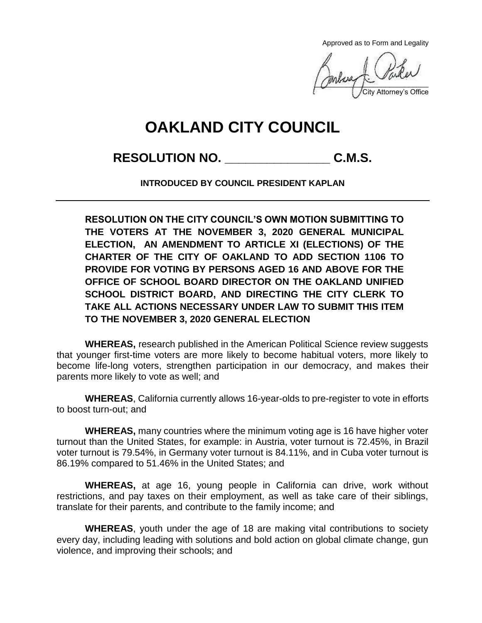Approved as to Form and Legality

 $\sqrt{2}$ City Attorney's Office

## **OAKLAND CITY COUNCIL**

## **RESOLUTION NO. \_\_\_\_\_\_\_\_\_\_\_\_\_\_\_ C.M.S.**

**INTRODUCED BY COUNCIL PRESIDENT KAPLAN**

**RESOLUTION ON THE CITY COUNCIL'S OWN MOTION SUBMITTING TO THE VOTERS AT THE NOVEMBER 3, 2020 GENERAL MUNICIPAL ELECTION, AN AMENDMENT TO ARTICLE XI (ELECTIONS) OF THE CHARTER OF THE CITY OF OAKLAND TO ADD SECTION 1106 TO PROVIDE FOR VOTING BY PERSONS AGED 16 AND ABOVE FOR THE OFFICE OF SCHOOL BOARD DIRECTOR ON THE OAKLAND UNIFIED SCHOOL DISTRICT BOARD, AND DIRECTING THE CITY CLERK TO TAKE ALL ACTIONS NECESSARY UNDER LAW TO SUBMIT THIS ITEM TO THE NOVEMBER 3, 2020 GENERAL ELECTION**

**WHEREAS,** research published in the American Political Science review suggests that younger first-time voters are more likely to become habitual voters, more likely to become life-long voters, strengthen participation in our democracy, and makes their parents more likely to vote as well; and

**WHEREAS**, California currently allows 16-year-olds to pre-register to vote in efforts to boost turn-out; and

**WHEREAS,** many countries where the minimum voting age is 16 have higher voter turnout than the United States, for example: in Austria, voter turnout is 72.45%, in Brazil voter turnout is 79.54%, in Germany voter turnout is 84.11%, and in Cuba voter turnout is 86.19% compared to 51.46% in the United States; and

**WHEREAS,** at age 16, young people in California can drive, work without restrictions, and pay taxes on their employment, as well as take care of their siblings, translate for their parents, and contribute to the family income; and

**WHEREAS**, youth under the age of 18 are making vital contributions to society every day, including leading with solutions and bold action on global climate change, gun violence, and improving their schools; and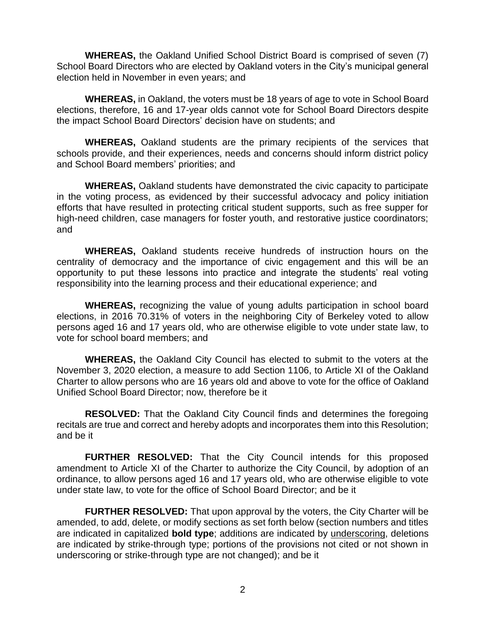**WHEREAS,** the Oakland Unified School District Board is comprised of seven (7) School Board Directors who are elected by Oakland voters in the City's municipal general election held in November in even years; and

**WHEREAS,** in Oakland, the voters must be 18 years of age to vote in School Board elections, therefore, 16 and 17-year olds cannot vote for School Board Directors despite the impact School Board Directors' decision have on students; and

**WHEREAS,** Oakland students are the primary recipients of the services that schools provide, and their experiences, needs and concerns should inform district policy and School Board members' priorities; and

**WHEREAS,** Oakland students have demonstrated the civic capacity to participate in the voting process, as evidenced by their successful advocacy and policy initiation efforts that have resulted in protecting critical student supports, such as free supper for high-need children, case managers for foster youth, and restorative justice coordinators; and

**WHEREAS,** Oakland students receive hundreds of instruction hours on the centrality of democracy and the importance of civic engagement and this will be an opportunity to put these lessons into practice and integrate the students' real voting responsibility into the learning process and their educational experience; and

**WHEREAS,** recognizing the value of young adults participation in school board elections, in 2016 70.31% of voters in the neighboring City of Berkeley voted to allow persons aged 16 and 17 years old, who are otherwise eligible to vote under state law, to vote for school board members; and

**WHEREAS,** the Oakland City Council has elected to submit to the voters at the November 3, 2020 election, a measure to add Section 1106, to Article XI of the Oakland Charter to allow persons who are 16 years old and above to vote for the office of Oakland Unified School Board Director; now, therefore be it

**RESOLVED:** That the Oakland City Council finds and determines the foregoing recitals are true and correct and hereby adopts and incorporates them into this Resolution; and be it

**FURTHER RESOLVED:** That the City Council intends for this proposed amendment to Article XI of the Charter to authorize the City Council, by adoption of an ordinance, to allow persons aged 16 and 17 years old, who are otherwise eligible to vote under state law, to vote for the office of School Board Director; and be it

**FURTHER RESOLVED:** That upon approval by the voters, the City Charter will be amended, to add, delete, or modify sections as set forth below (section numbers and titles are indicated in capitalized **bold type**; additions are indicated by underscoring, deletions are indicated by strike-through type; portions of the provisions not cited or not shown in underscoring or strike-through type are not changed); and be it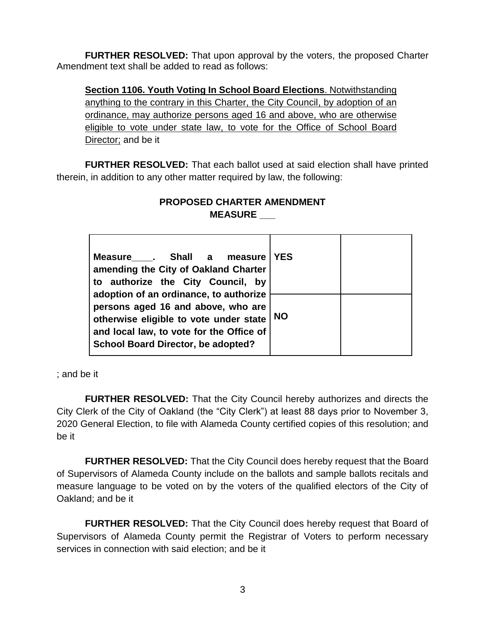**FURTHER RESOLVED:** That upon approval by the voters, the proposed Charter Amendment text shall be added to read as follows:

**Section 1106. Youth Voting In School Board Elections**. Notwithstanding anything to the contrary in this Charter, the City Council, by adoption of an ordinance, may authorize persons aged 16 and above, who are otherwise eligible to vote under state law, to vote for the Office of School Board Director; and be it

**FURTHER RESOLVED:** That each ballot used at said election shall have printed therein, in addition to any other matter required by law, the following:

## **PROPOSED CHARTER AMENDMENT MEASURE \_\_\_**

| Measure . Shall a measure<br>amending the City of Oakland Charter<br>to authorize the City Council, by<br>adoption of an ordinance, to authorize<br>persons aged 16 and above, who are<br>otherwise eligible to vote under state<br>and local law, to vote for the Office of<br><b>School Board Director, be adopted?</b> | <b>YES</b> |  |
|---------------------------------------------------------------------------------------------------------------------------------------------------------------------------------------------------------------------------------------------------------------------------------------------------------------------------|------------|--|
|                                                                                                                                                                                                                                                                                                                           | <b>NO</b>  |  |

; and be it

**FURTHER RESOLVED:** That the City Council hereby authorizes and directs the City Clerk of the City of Oakland (the "City Clerk") at least 88 days prior to November 3, 2020 General Election, to file with Alameda County certified copies of this resolution; and be it

**FURTHER RESOLVED:** That the City Council does hereby request that the Board of Supervisors of Alameda County include on the ballots and sample ballots recitals and measure language to be voted on by the voters of the qualified electors of the City of Oakland; and be it

**FURTHER RESOLVED:** That the City Council does hereby request that Board of Supervisors of Alameda County permit the Registrar of Voters to perform necessary services in connection with said election; and be it